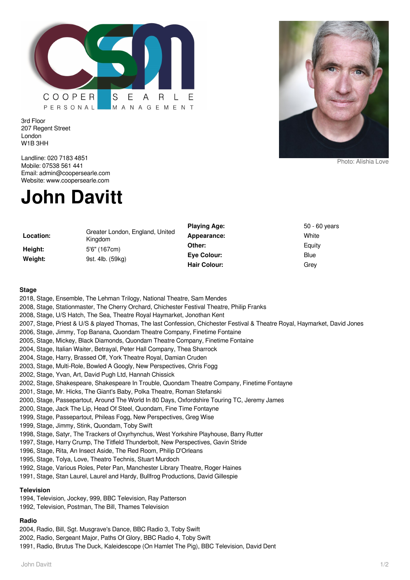

3rd Floor 207 Regent Street London W1B 3HH



Photo: Alishia Love

Landline: 020 7183 4851 Mobile: 07538 561 441 Email: admin@coopersearle.com Website: www.coopersearle.com

## **John Davitt**

|           |                                            | <b>Playing Age:</b> | 50 - 60 years |
|-----------|--------------------------------------------|---------------------|---------------|
| Location: | Greater London, England, United<br>Kingdom | Appearance:         | White         |
| Height:   | 5'6" (167cm)                               | Other:              | Equity        |
| Weight:   | 9st. 4lb. (59kg)                           | Eve Colour:         | Blue          |
|           |                                            | <b>Hair Colour:</b> | Grey          |

## **Stage**

| 2018, Stage, Ensemble, The Lehman Trilogy, National Theatre, Sam Mendes                                                                                                              |
|--------------------------------------------------------------------------------------------------------------------------------------------------------------------------------------|
| 2008, Stage, Stationmaster, The Cherry Orchard, Chichester Festival Theatre, Philip Franks                                                                                           |
| 2008, Stage, U/S Hatch, The Sea, Theatre Royal Haymarket, Jonothan Kent                                                                                                              |
| 2007, Stage, Priest & U/S & played Thomas, The last Confession, Chichester Festival & Theatre Royal, Haymarket, David Jones                                                          |
| 2006, Stage, Jimmy, Top Banana, Quondam Theatre Company, Finetime Fontaine                                                                                                           |
| 2005, Stage, Mickey, Black Diamonds, Quondam Theatre Company, Finetime Fontaine                                                                                                      |
| 2004, Stage, Italian Waiter, Betrayal, Peter Hall Company, Thea Sharrock                                                                                                             |
| 2004, Stage, Harry, Brassed Off, York Theatre Royal, Damian Cruden                                                                                                                   |
| 2003, Stage, Multi-Role, Bowled A Googly, New Perspectives, Chris Fogg                                                                                                               |
| 2002, Stage, Yvan, Art, David Pugh Ltd, Hannah Chissick                                                                                                                              |
| 2002, Stage, Shakespeare, Shakespeare In Trouble, Quondam Theatre Company, Finetime Fontayne                                                                                         |
| 2001, Stage, Mr. Hicks, The Giant's Baby, Polka Theatre, Roman Stefanski                                                                                                             |
| 2000, Stage, Passepartout, Around The World In 80 Days, Oxfordshire Touring TC, Jeremy James                                                                                         |
| 2000, Stage, Jack The Lip, Head Of Steel, Quondam, Fine Time Fontayne                                                                                                                |
| 1999, Stage, Passepartout, Phileas Fogg, New Perspectives, Greg Wise                                                                                                                 |
| 1999, Stage, Jimmy, Stink, Quondam, Toby Swift                                                                                                                                       |
| 1998, Stage, Satyr, The Trackers of Oxyrhynchus, West Yorkshire Playhouse, Barry Rutter                                                                                              |
| 1997, Stage, Harry Crump, The Titfield Thunderbolt, New Perspectives, Gavin Stride                                                                                                   |
| 1996, Stage, Rita, An Insect Aside, The Red Room, Philip D'Orleans                                                                                                                   |
| 1995, Stage, Tolya, Love, Theatro Technis, Stuart Murdoch                                                                                                                            |
| 1992, Stage, Various Roles, Peter Pan, Manchester Library Theatre, Roger Haines                                                                                                      |
| 1991, Stage, Stan Laurel, Laurel and Hardy, Bullfrog Productions, David Gillespie                                                                                                    |
| <b>Television</b>                                                                                                                                                                    |
| 1994, Television, Jockey, 999, BBC Television, Ray Patterson                                                                                                                         |
| $\mathcal{A} \cap \mathcal{A} \cap \mathcal{A}$ . The set of $\mathcal{A} \cap \mathcal{A}$ . The set of $\mathcal{A} \cap \mathcal{A}$ is the set of $\mathcal{A} \cap \mathcal{A}$ |

1992, Television, Postman, The Bill, Thames Television

## **Radio**

2004, Radio, Bill, Sgt. Musgrave's Dance, BBC Radio 3, Toby Swift

2002, Radio, Sergeant Major, Paths Of Glory, BBC Radio 4, Toby Swift

1991, Radio, Brutus The Duck, Kaleidescope (On Hamlet The Pig), BBC Television, David Dent